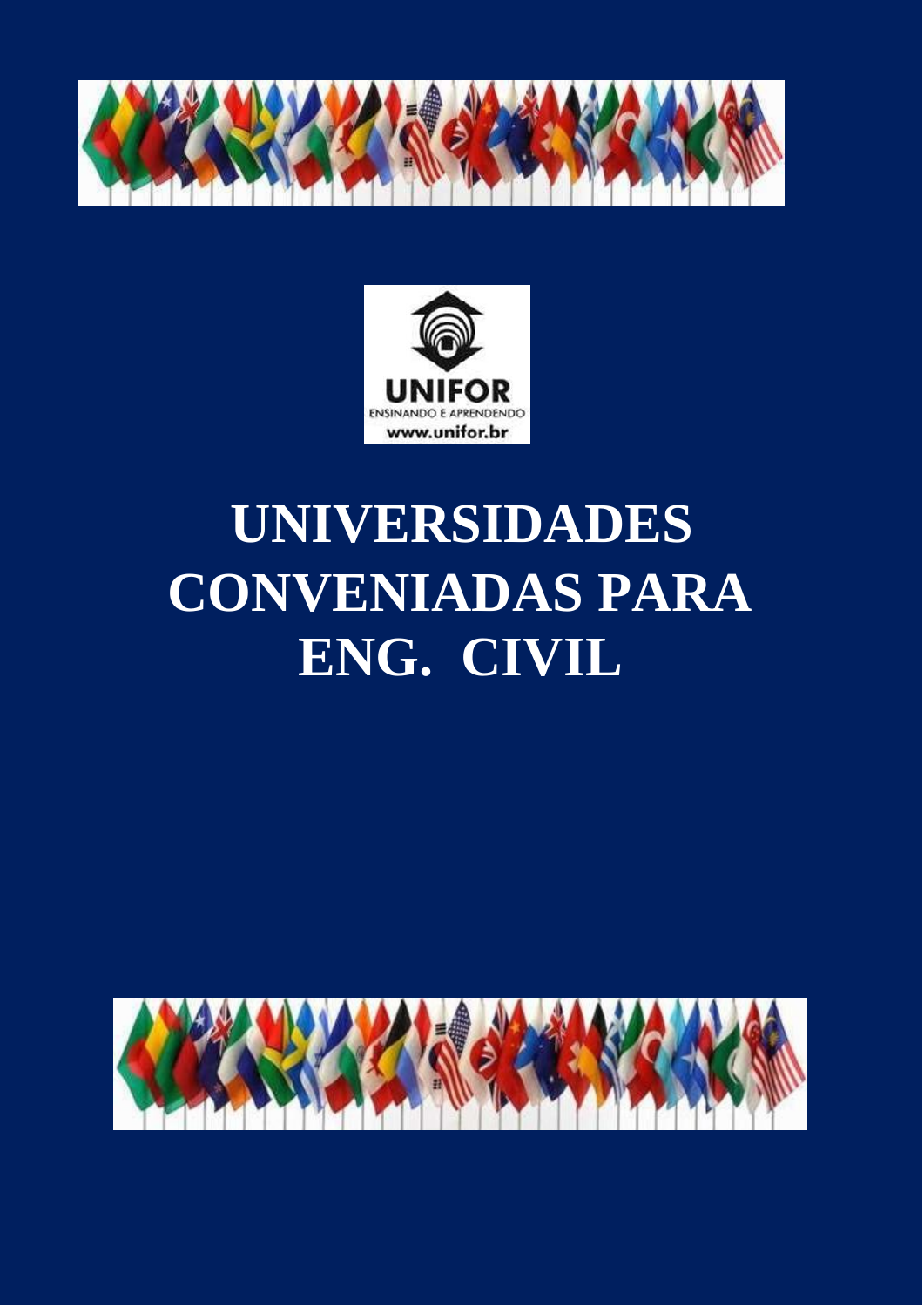



# **UNIVERSIDADES CONVENIADAS PARA ENG. CIVIL**

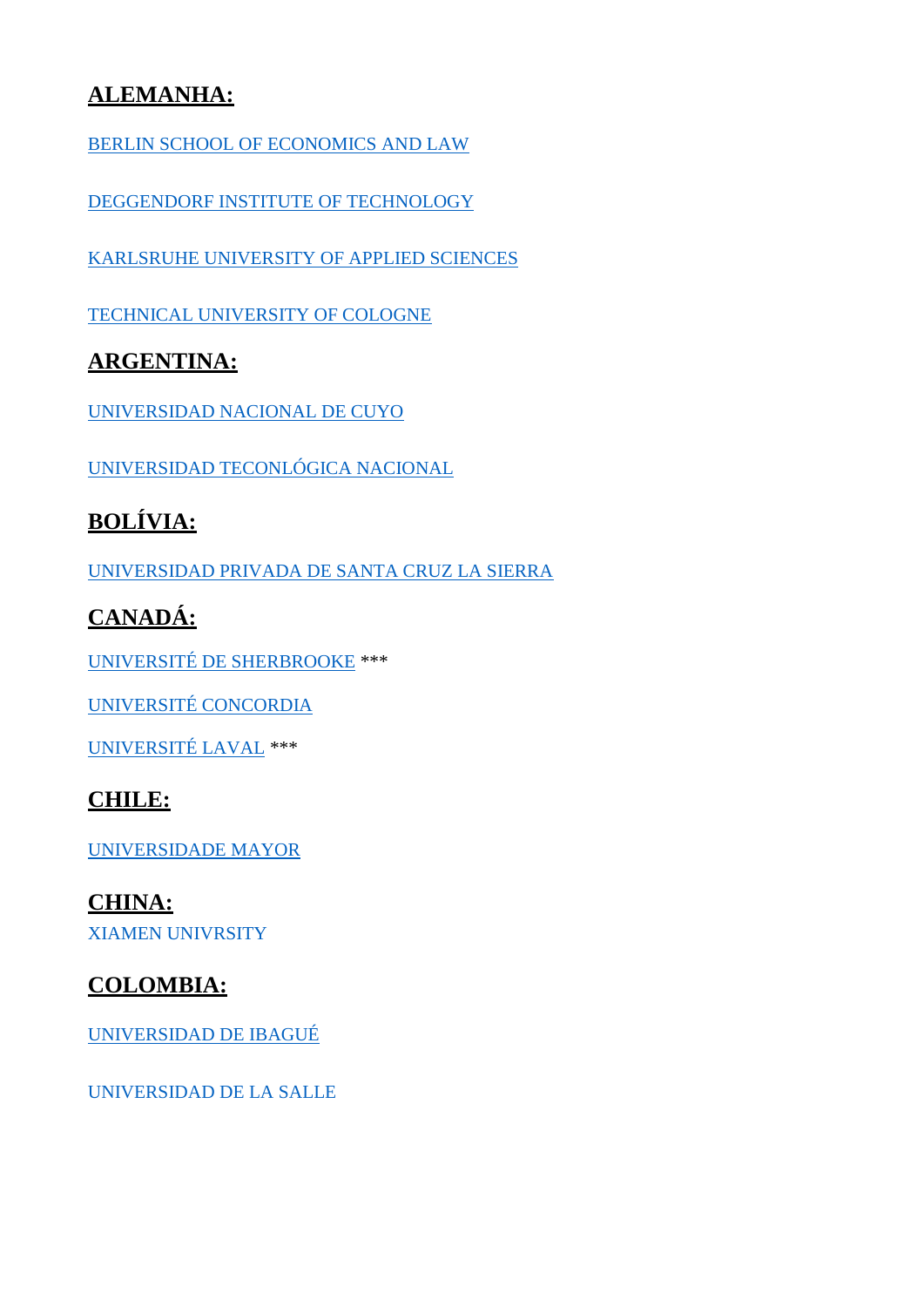### **ALEMANHA:**

[BERLIN SCHOOL OF ECONOMICS AND LAW](https://www.hwr-berlin.de/en/study/degree-programmes/detail/59-bauingenieurwesen/)

[DEGGENDORF INSTITUTE OF TECHNOLOGY](https://www.th-deg.de/en/biw-en/courses/biw-b-en)

[KARLSRUHE UNIVERSITY OF APPLIED SCIENCES](https://www.hs-karlsruhe.de/en/faculties/architecture-civil-engineering/bachelor/)

[TECHNICAL UNIVERSITY OF COLOGNE](hhttps://www.th-koeln.de/en/academics/civil-engineering-bachelors-program_7272.php)

#### **ARGENTINA:**

[UNIVERSIDAD NACIONAL DE CUYO](http://www.uncuyo.edu.ar/estudios/carrera/ingenieria-civil) 

[UNIVERSIDAD TECONLÓGICA NACIONAL](https://www.utn.edu.ar/es/estudiar-utn?tipo_busqueda=carreras&id_tipos_carreras=1)

# **BOLÍVIA:**

[UNIVERSIDAD PRIVADA DE SANTA CRUZ LA SIERRA](https://www.upsa.edu.bo/es/carreras-facultad-de-ingenieria/ingenieria-civil)

## **CANADÁ:**

[UNIVERSITÉ DE SHERBROOKE](https://www.usherbrooke.ca/admission/programme/213/baccalaureat-en-genie-civil/) \*\*\*

[UNIVERSITÉ CONCORDIA](https://www.concordia.ca/academics/undergraduate/civil-engineering.html)

[UNIVERSITÉ LAVAL](https://www.ulaval.ca/les-etudes/programmes/repertoire/details/baccalaureat-en-genie-civil-b-ing.html) \*\*\*

#### **CHILE:**

[UNIVERSIDADE MAYOR](https://www.umayor.cl/um/carreras/construccion-civil-santiago/10000)

**CHINA:** [XIAMEN UNIVRSITY](http://archt.xmu.edu.cn/en/newsdetail.aspx?id=644)

#### **COLOMBIA:**

[UNIVERSIDAD DE IBAGUÉ](http://civil.unibague.edu.co/)

[UNIVERSIDAD DE LA SALLE](https://www.lasalle.edu.co/ingenieria-civil)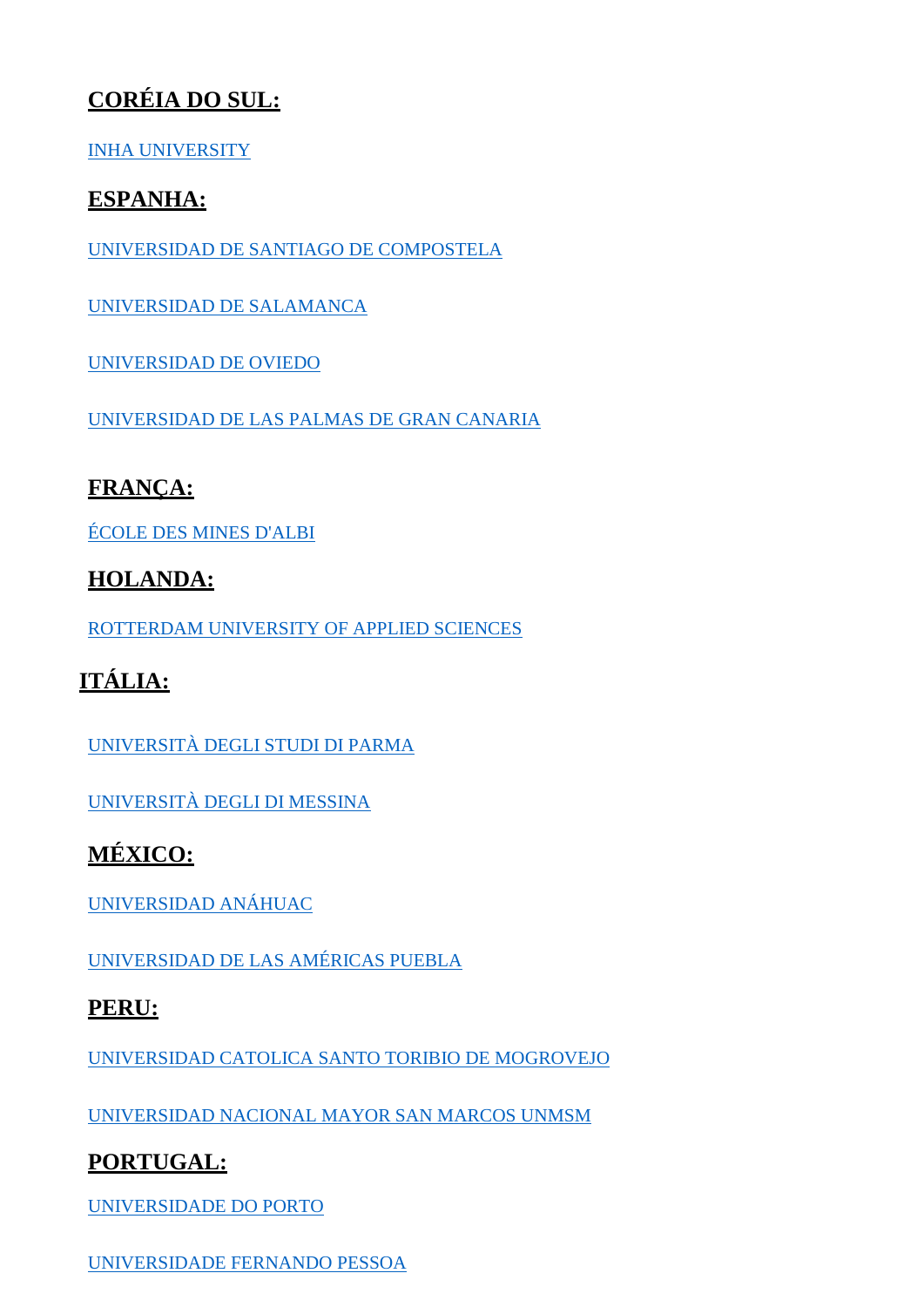# **CORÉIA DO SUL:**

#### [INHA UNIVERSITY](http://www.inha.ac.kr/cop/search/introList.do?siteId=eng&deptCode=1017&majorCodeH=516&majorCodeS=0966&codeS=0183&id=eng_030102100000)

#### **ESPANHA:**

[UNIVERSIDAD DE SANTIAGO DE COMPOSTELA](http://www.usc.es/graos/es/grados/ingenieria-arquitectura/ingenieria-civil)

[UNIVERSIDAD DE SALAMANCA](https://www.usal.es/grado-en-ingenieria-civil-mencion-en-construcciones-civiles-eps-de-zamora)

[UNIVERSIDAD DE OVIEDO](http://www.uniovi.es/estudios/grados/-/asset_publisher/X5CYKURHdF1e/content/grado-en-ingenieria-civil-2014?redirect=%2Festudios%2Fgrados)

[UNIVERSIDAD DE LAS PALMAS DE GRAN CANARIA](https://www2.ulpgc.es/index.php?pagina=plan_estudio&ver=wpe002&codTitulacion=4019&tipotitulacion=G)

## **FRANÇA:**

[ÉCOLE DES MINES D'ALBI](https://www.imt-mines-albi.fr/fr/ingenieur-generaliste)

#### **HOLANDA:**

[ROTTERDAM UNIVERSITY OF APPLIED SCIENCES](https://www.rotterdamuas.com/programmes/exchange/) 

# **ITÁLIA:**

[UNIVERSITÀ DEGLI STUDI DI PARMA](https://en.unipr.it/ugov/degree/5030)

[UNIVERSITÀ DEGLI DI MESSINA](https://www.unime.it/it/cds/ingegneria-civile-e-dei-sistemi-edilizi)

# **MÉXICO:**

[UNIVERSIDAD ANÁHUAC](https://www.anahuac.mx/ingenieria-civil)

[UNIVERSIDAD DE LAS AMÉRICAS PUEBLA](https://www.udlap.mx/web/)

#### **PERU:**

[UNIVERSIDAD CATOLICA SANTO TORIBIO DE MOGROVEJO](http://www.usat.edu.pe/facultad-de-ingenieria/ingenieria-civil-ambiental/)

[UNIVERSIDAD NACIONAL MAYOR SAN MARCOS UNMSM](http://figmmg.edu.pe/escuelas/eap-ingenieria-civil/)

#### **PORTUGAL:**

[UNIVERSIDADE DO PORTO](https://sigarra.up.pt/feup/pt/cur_geral.cur_view?pv_origem=CAND&pv_curso_id=740)

[UNIVERSIDADE FERNANDO](https://www.ufp.pt/inicio/estudar-e-investigar/licenciaturas/engenharia-civil/) PESSOA